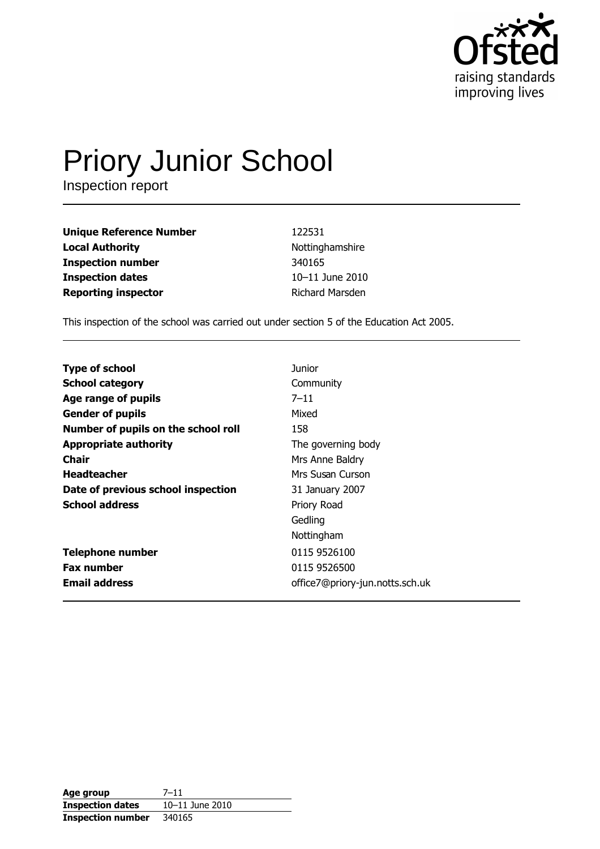

# **Priory Junior School**<br>Inspection report

| <b>Unique Reference Number</b> | 122531          |
|--------------------------------|-----------------|
| <b>Local Authority</b>         | Nottinghamshire |
| <b>Inspection number</b>       | 340165          |
| <b>Inspection dates</b>        | 10-11 June 2010 |
| <b>Reporting inspector</b>     | Richard Marsden |

This inspection of the school was carried out under section 5 of the Education Act 2005.

| <b>Type of school</b>               | <b>Junior</b>                   |
|-------------------------------------|---------------------------------|
| <b>School category</b>              | Community                       |
| Age range of pupils                 | $7 - 11$                        |
| <b>Gender of pupils</b>             | Mixed                           |
| Number of pupils on the school roll | 158                             |
| <b>Appropriate authority</b>        | The governing body              |
| Chair                               | Mrs Anne Baldry                 |
| <b>Headteacher</b>                  | Mrs Susan Curson                |
| Date of previous school inspection  | 31 January 2007                 |
| <b>School address</b>               | Priory Road                     |
|                                     | Gedling                         |
|                                     | Nottingham                      |
| <b>Telephone number</b>             | 0115 9526100                    |
| <b>Fax number</b>                   | 0115 9526500                    |
| <b>Email address</b>                | office7@priory-jun.notts.sch.uk |

| Age group                | $7 - 11$        |
|--------------------------|-----------------|
| <b>Inspection dates</b>  | 10-11 June 2010 |
| <b>Inspection number</b> | 340165          |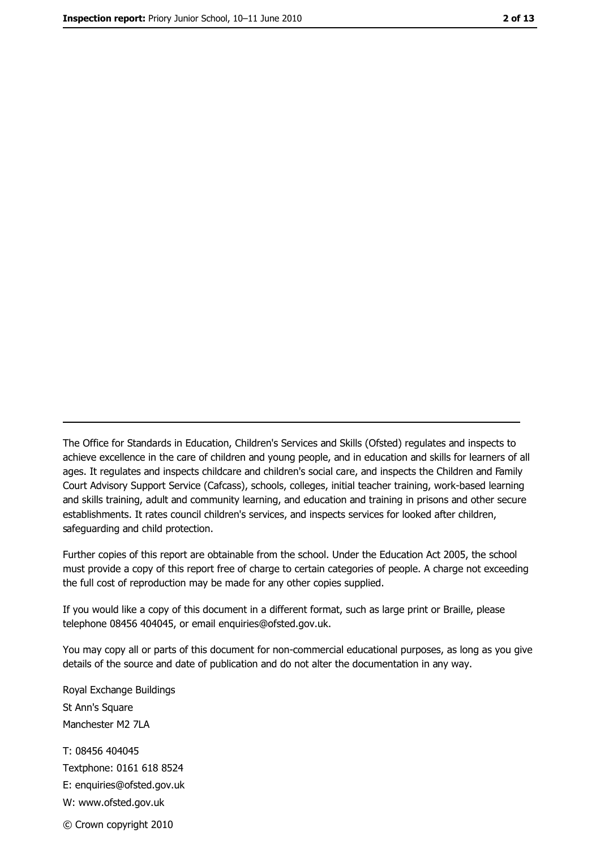The Office for Standards in Education, Children's Services and Skills (Ofsted) regulates and inspects to achieve excellence in the care of children and young people, and in education and skills for learners of all ages. It regulates and inspects childcare and children's social care, and inspects the Children and Family Court Advisory Support Service (Cafcass), schools, colleges, initial teacher training, work-based learning and skills training, adult and community learning, and education and training in prisons and other secure establishments. It rates council children's services, and inspects services for looked after children, safequarding and child protection.

Further copies of this report are obtainable from the school. Under the Education Act 2005, the school must provide a copy of this report free of charge to certain categories of people. A charge not exceeding the full cost of reproduction may be made for any other copies supplied.

If you would like a copy of this document in a different format, such as large print or Braille, please telephone 08456 404045, or email enquiries@ofsted.gov.uk.

You may copy all or parts of this document for non-commercial educational purposes, as long as you give details of the source and date of publication and do not alter the documentation in any way.

Royal Exchange Buildings St Ann's Square Manchester M2 7LA T: 08456 404045 Textphone: 0161 618 8524 E: enquiries@ofsted.gov.uk W: www.ofsted.gov.uk © Crown copyright 2010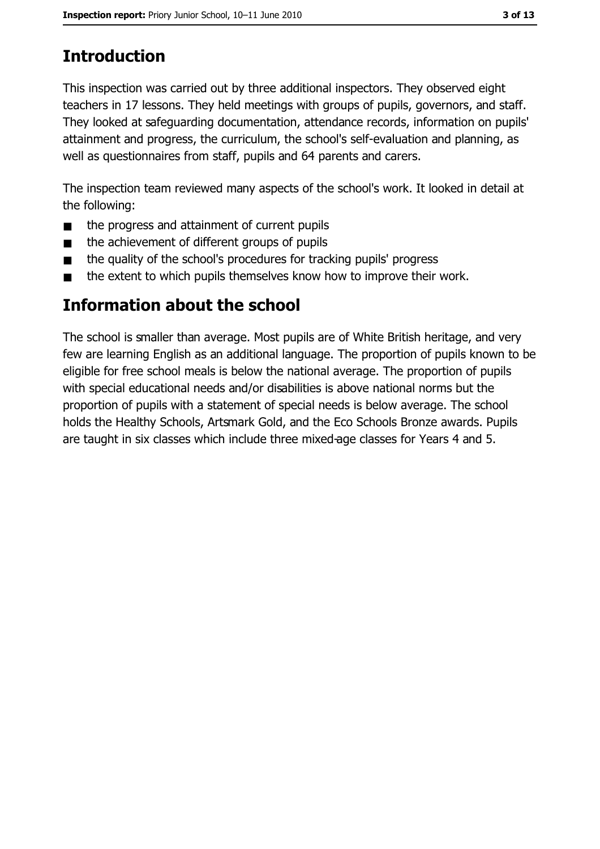# **Introduction**

This inspection was carried out by three additional inspectors. They observed eight teachers in 17 lessons. They held meetings with groups of pupils, governors, and staff. They looked at safeguarding documentation, attendance records, information on pupils' attainment and progress, the curriculum, the school's self-evaluation and planning, as well as questionnaires from staff, pupils and 64 parents and carers.

The inspection team reviewed many aspects of the school's work. It looked in detail at the following:

- the progress and attainment of current pupils  $\blacksquare$
- the achievement of different groups of pupils  $\blacksquare$
- the quality of the school's procedures for tracking pupils' progress  $\blacksquare$
- the extent to which pupils themselves know how to improve their work.  $\blacksquare$

### Information about the school

The school is smaller than average. Most pupils are of White British heritage, and very few are learning English as an additional language. The proportion of pupils known to be eligible for free school meals is below the national average. The proportion of pupils with special educational needs and/or disabilities is above national norms but the proportion of pupils with a statement of special needs is below average. The school holds the Healthy Schools, Artsmark Gold, and the Eco Schools Bronze awards. Pupils are taught in six classes which include three mixed-age classes for Years 4 and 5.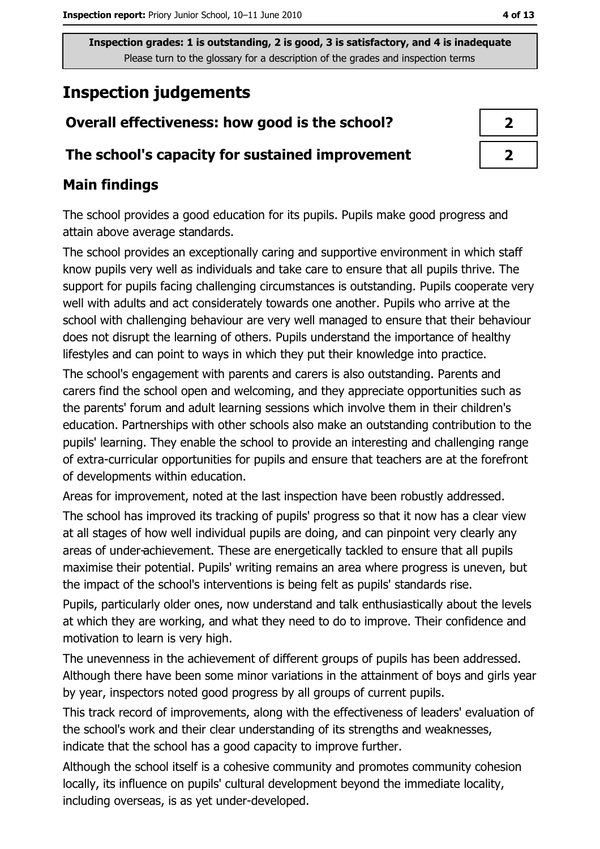# **Inspection judgements**

# Overall effectiveness: how good is the school?

#### The school's capacity for sustained improvement

#### **Main findings**

The school provides a good education for its pupils. Pupils make good progress and attain above average standards.

The school provides an exceptionally caring and supportive environment in which staff know pupils very well as individuals and take care to ensure that all pupils thrive. The support for pupils facing challenging circumstances is outstanding. Pupils cooperate very well with adults and act considerately towards one another. Pupils who arrive at the school with challenging behaviour are very well managed to ensure that their behaviour does not disrupt the learning of others. Pupils understand the importance of healthy lifestyles and can point to ways in which they put their knowledge into practice.

The school's engagement with parents and carers is also outstanding. Parents and carers find the school open and welcoming, and they appreciate opportunities such as the parents' forum and adult learning sessions which involve them in their children's education. Partnerships with other schools also make an outstanding contribution to the pupils' learning. They enable the school to provide an interesting and challenging range of extra-curricular opportunities for pupils and ensure that teachers are at the forefront of developments within education.

Areas for improvement, noted at the last inspection have been robustly addressed.

The school has improved its tracking of pupils' progress so that it now has a clear view at all stages of how well individual pupils are doing, and can pinpoint very clearly any areas of under-achievement. These are energetically tackled to ensure that all pupils maximise their potential. Pupils' writing remains an area where progress is uneven, but the impact of the school's interventions is being felt as pupils' standards rise.

Pupils, particularly older ones, now understand and talk enthusiastically about the levels at which they are working, and what they need to do to improve. Their confidence and motivation to learn is very high.

The unevenness in the achievement of different groups of pupils has been addressed. Although there have been some minor variations in the attainment of boys and girls year by year, inspectors noted good progress by all groups of current pupils.

This track record of improvements, along with the effectiveness of leaders' evaluation of the school's work and their clear understanding of its strengths and weaknesses, indicate that the school has a good capacity to improve further.

Although the school itself is a cohesive community and promotes community cohesion locally, its influence on pupils' cultural development beyond the immediate locality, including overseas, is as yet under-developed.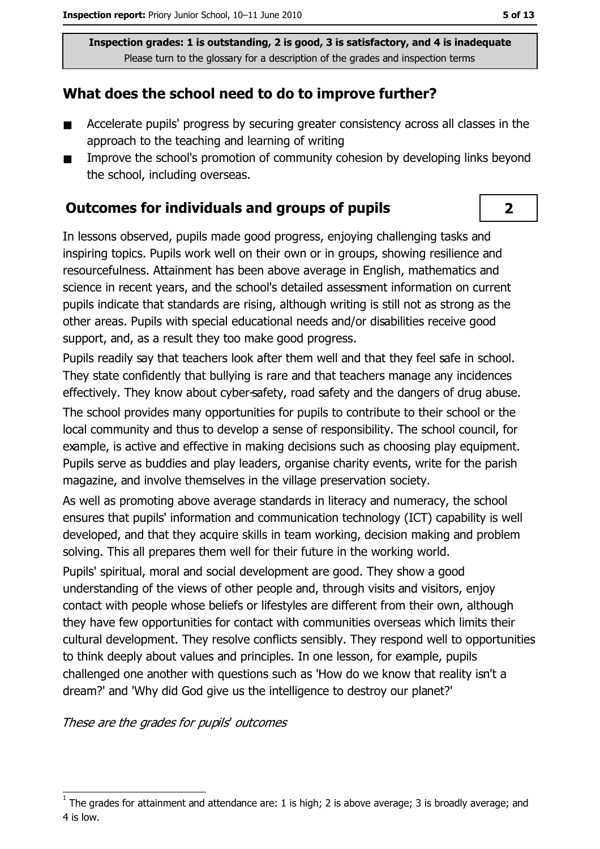#### What does the school need to do to improve further?

- Accelerate pupils' progress by securing greater consistency across all classes in the  $\blacksquare$ approach to the teaching and learning of writing
- Improve the school's promotion of community cohesion by developing links beyond  $\blacksquare$ the school, including overseas.

#### **Outcomes for individuals and groups of pupils**

In lessons observed, pupils made good progress, enjoying challenging tasks and inspiring topics. Pupils work well on their own or in groups, showing resilience and resourcefulness. Attainment has been above average in English, mathematics and science in recent years, and the school's detailed assessment information on current pupils indicate that standards are rising, although writing is still not as strong as the other areas. Pupils with special educational needs and/or disabilities receive good support, and, as a result they too make good progress.

Pupils readily say that teachers look after them well and that they feel safe in school. They state confidently that bullying is rare and that teachers manage any incidences effectively. They know about cyber-safety, road safety and the dangers of drug abuse.

The school provides many opportunities for pupils to contribute to their school or the local community and thus to develop a sense of responsibility. The school council, for example, is active and effective in making decisions such as choosing play equipment. Pupils serve as buddies and play leaders, organise charity events, write for the parish magazine, and involve themselves in the village preservation society.

As well as promoting above average standards in literacy and numeracy, the school ensures that pupils' information and communication technology (ICT) capability is well developed, and that they acquire skills in team working, decision making and problem solving. This all prepares them well for their future in the working world.

Pupils' spiritual, moral and social development are good. They show a good understanding of the views of other people and, through visits and visitors, enjoy contact with people whose beliefs or lifestyles are different from their own, although they have few opportunities for contact with communities overseas which limits their cultural development. They resolve conflicts sensibly. They respond well to opportunities to think deeply about values and principles. In one lesson, for example, pupils challenged one another with questions such as 'How do we know that reality isn't a dream?' and 'Why did God give us the intelligence to destroy our planet?'

These are the grades for pupils' outcomes

 $\overline{2}$ 

The grades for attainment and attendance are: 1 is high; 2 is above average; 3 is broadly average; and 4 is low.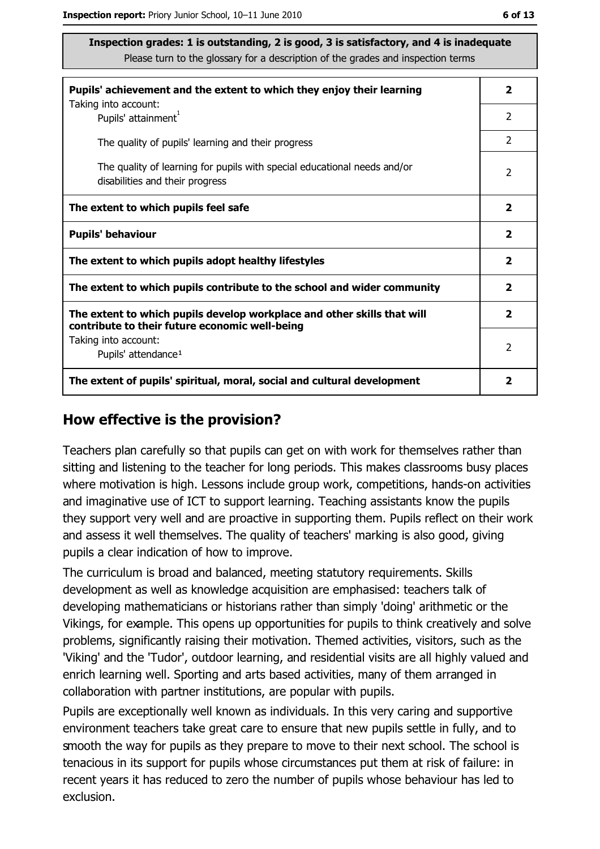| Pupils' achievement and the extent to which they enjoy their learning                                                     | 2                       |
|---------------------------------------------------------------------------------------------------------------------------|-------------------------|
| Taking into account:<br>Pupils' attainment <sup>1</sup>                                                                   | 2                       |
| The quality of pupils' learning and their progress                                                                        | $\overline{2}$          |
| The quality of learning for pupils with special educational needs and/or<br>disabilities and their progress               | $\mathcal{P}$           |
| The extent to which pupils feel safe                                                                                      | 2                       |
| <b>Pupils' behaviour</b>                                                                                                  | $\overline{\mathbf{2}}$ |
| The extent to which pupils adopt healthy lifestyles                                                                       | $\overline{\mathbf{2}}$ |
| The extent to which pupils contribute to the school and wider community                                                   | $\mathbf{2}$            |
| The extent to which pupils develop workplace and other skills that will<br>contribute to their future economic well-being | $\overline{\mathbf{2}}$ |
| Taking into account:<br>Pupils' attendance <sup>1</sup>                                                                   | 2                       |
| The extent of pupils' spiritual, moral, social and cultural development                                                   | 2                       |

#### How effective is the provision?

Teachers plan carefully so that pupils can get on with work for themselves rather than sitting and listening to the teacher for long periods. This makes classrooms busy places where motivation is high. Lessons include group work, competitions, hands-on activities and imaginative use of ICT to support learning. Teaching assistants know the pupils they support very well and are proactive in supporting them. Pupils reflect on their work and assess it well themselves. The quality of teachers' marking is also good, giving pupils a clear indication of how to improve.

The curriculum is broad and balanced, meeting statutory requirements. Skills development as well as knowledge acquisition are emphasised: teachers talk of developing mathematicians or historians rather than simply 'doing' arithmetic or the Vikings, for example. This opens up opportunities for pupils to think creatively and solve problems, significantly raising their motivation. Themed activities, visitors, such as the 'Viking' and the 'Tudor', outdoor learning, and residential visits are all highly valued and enrich learning well. Sporting and arts based activities, many of them arranged in collaboration with partner institutions, are popular with pupils.

Pupils are exceptionally well known as individuals. In this very caring and supportive environment teachers take great care to ensure that new pupils settle in fully, and to smooth the way for pupils as they prepare to move to their next school. The school is tenacious in its support for pupils whose circumstances put them at risk of failure: in recent years it has reduced to zero the number of pupils whose behaviour has led to exclusion.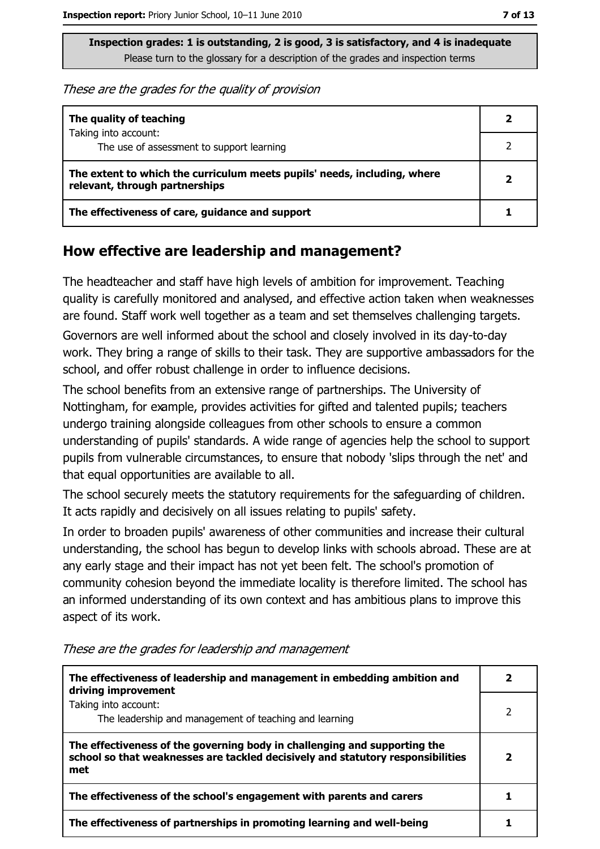These are the grades for the quality of provision

| The quality of teaching                                                                                    |  |
|------------------------------------------------------------------------------------------------------------|--|
| Taking into account:<br>The use of assessment to support learning                                          |  |
| The extent to which the curriculum meets pupils' needs, including, where<br>relevant, through partnerships |  |
| The effectiveness of care, guidance and support                                                            |  |

#### How effective are leadership and management?

The headteacher and staff have high levels of ambition for improvement. Teaching quality is carefully monitored and analysed, and effective action taken when weaknesses are found. Staff work well together as a team and set themselves challenging targets.

Governors are well informed about the school and closely involved in its day-to-day work. They bring a range of skills to their task. They are supportive ambassadors for the school, and offer robust challenge in order to influence decisions.

The school benefits from an extensive range of partnerships. The University of Nottingham, for example, provides activities for gifted and talented pupils; teachers undergo training alongside colleagues from other schools to ensure a common understanding of pupils' standards. A wide range of agencies help the school to support pupils from vulnerable circumstances, to ensure that nobody 'slips through the net' and that equal opportunities are available to all.

The school securely meets the statutory requirements for the safeguarding of children. It acts rapidly and decisively on all issues relating to pupils' safety.

In order to broaden pupils' awareness of other communities and increase their cultural understanding, the school has begun to develop links with schools abroad. These are at any early stage and their impact has not yet been felt. The school's promotion of community cohesion beyond the immediate locality is therefore limited. The school has an informed understanding of its own context and has ambitious plans to improve this aspect of its work.

| The effectiveness of leadership and management in embedding ambition and<br>driving improvement                                                                     | 2 |
|---------------------------------------------------------------------------------------------------------------------------------------------------------------------|---|
| Taking into account:<br>The leadership and management of teaching and learning                                                                                      |   |
| The effectiveness of the governing body in challenging and supporting the<br>school so that weaknesses are tackled decisively and statutory responsibilities<br>met |   |
| The effectiveness of the school's engagement with parents and carers                                                                                                |   |
| The effectiveness of partnerships in promoting learning and well-being                                                                                              |   |

These are the grades for leadership and management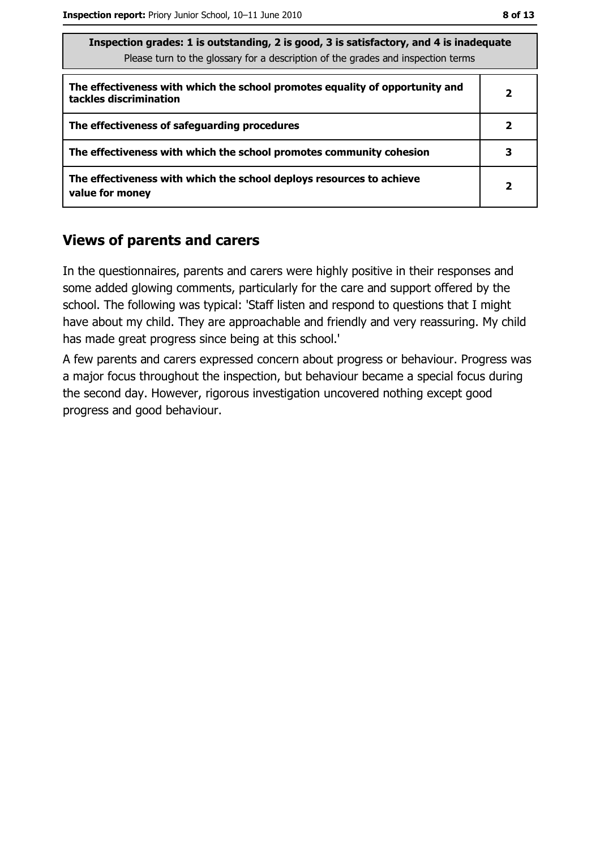| Inspection grades: I is outstanding, Z is good, S is satisfactory, and 4 is inadequate<br>Please turn to the glossary for a description of the grades and inspection terms |              |  |
|----------------------------------------------------------------------------------------------------------------------------------------------------------------------------|--------------|--|
| The effectiveness with which the school promotes equality of opportunity and<br>tackles discrimination                                                                     | 2            |  |
| The effectiveness of safeguarding procedures                                                                                                                               | 2            |  |
| The effectiveness with which the school promotes community cohesion                                                                                                        | з            |  |
| The effectiveness with which the school deploys resources to achieve<br>value for money                                                                                    | $\mathbf{2}$ |  |

#### **Views of parents and carers**

In the questionnaires, parents and carers were highly positive in their responses and some added glowing comments, particularly for the care and support offered by the school. The following was typical: 'Staff listen and respond to questions that I might have about my child. They are approachable and friendly and very reassuring. My child has made great progress since being at this school.'

A few parents and carers expressed concern about progress or behaviour. Progress was a major focus throughout the inspection, but behaviour became a special focus during the second day. However, rigorous investigation uncovered nothing except good progress and good behaviour.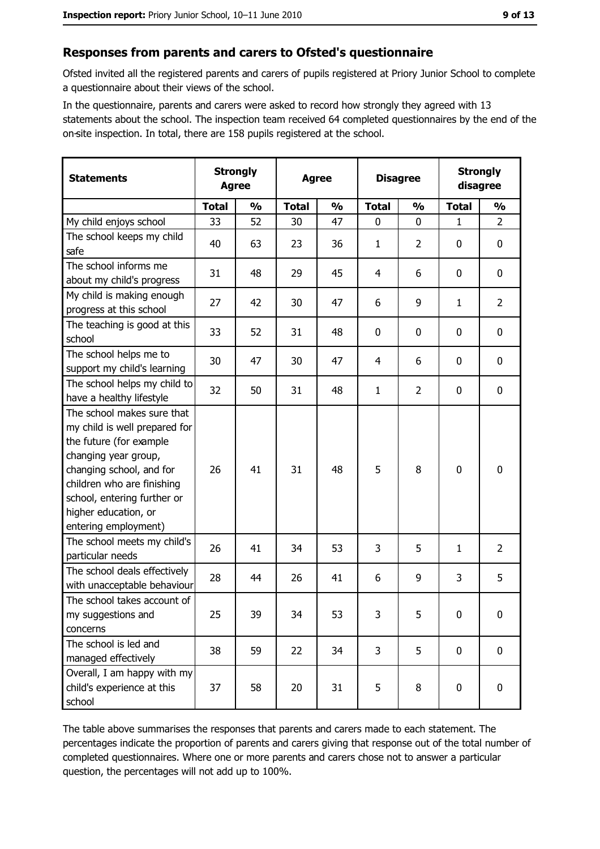#### Responses from parents and carers to Ofsted's questionnaire

Ofsted invited all the registered parents and carers of pupils registered at Priory Junior School to complete a questionnaire about their views of the school.

In the questionnaire, parents and carers were asked to record how strongly they agreed with 13 statements about the school. The inspection team received 64 completed questionnaires by the end of the on-site inspection. In total, there are 158 pupils registered at the school.

| <b>Statements</b>                                                                                                                                                                                                                                       | <b>Strongly</b><br><b>Agree</b> |               | <b>Agree</b> |               | <b>Disagree</b> |                | <b>Strongly</b><br>disagree |                |
|---------------------------------------------------------------------------------------------------------------------------------------------------------------------------------------------------------------------------------------------------------|---------------------------------|---------------|--------------|---------------|-----------------|----------------|-----------------------------|----------------|
|                                                                                                                                                                                                                                                         | <b>Total</b>                    | $\frac{0}{0}$ | <b>Total</b> | $\frac{0}{0}$ | <b>Total</b>    | $\frac{0}{0}$  | <b>Total</b>                | $\frac{0}{0}$  |
| My child enjoys school                                                                                                                                                                                                                                  | 33                              | 52            | 30           | 47            | $\mathbf 0$     | 0              | $\mathbf{1}$                | $\overline{2}$ |
| The school keeps my child<br>safe                                                                                                                                                                                                                       | 40                              | 63            | 23           | 36            | $\mathbf{1}$    | $\overline{2}$ | $\mathbf 0$                 | 0              |
| The school informs me<br>about my child's progress                                                                                                                                                                                                      | 31                              | 48            | 29           | 45            | 4               | 6              | $\Omega$                    | $\mathbf 0$    |
| My child is making enough<br>progress at this school                                                                                                                                                                                                    | 27                              | 42            | 30           | 47            | 6               | 9              | 1                           | $\overline{2}$ |
| The teaching is good at this<br>school                                                                                                                                                                                                                  | 33                              | 52            | 31           | 48            | 0               | 0              | 0                           | 0              |
| The school helps me to<br>support my child's learning                                                                                                                                                                                                   | 30                              | 47            | 30           | 47            | 4               | 6              | 0                           | 0              |
| The school helps my child to<br>have a healthy lifestyle                                                                                                                                                                                                | 32                              | 50            | 31           | 48            | $\mathbf{1}$    | $\overline{2}$ | 0                           | 0              |
| The school makes sure that<br>my child is well prepared for<br>the future (for example<br>changing year group,<br>changing school, and for<br>children who are finishing<br>school, entering further or<br>higher education, or<br>entering employment) | 26                              | 41            | 31           | 48            | 5               | 8              | $\mathbf 0$                 | $\mathbf 0$    |
| The school meets my child's<br>particular needs                                                                                                                                                                                                         | 26                              | 41            | 34           | 53            | 3               | 5              | 1                           | $\overline{2}$ |
| The school deals effectively<br>with unacceptable behaviour                                                                                                                                                                                             | 28                              | 44            | 26           | 41            | 6               | 9              | 3                           | 5              |
| The school takes account of<br>my suggestions and<br>concerns                                                                                                                                                                                           | 25                              | 39            | 34           | 53            | 3               | 5              | $\mathbf 0$                 | 0              |
| The school is led and<br>managed effectively                                                                                                                                                                                                            | 38                              | 59            | 22           | 34            | 3               | 5              | $\mathbf 0$                 | $\mathbf 0$    |
| Overall, I am happy with my<br>child's experience at this<br>school                                                                                                                                                                                     | 37                              | 58            | 20           | 31            | 5               | 8              | 0                           | $\mathbf 0$    |

The table above summarises the responses that parents and carers made to each statement. The percentages indicate the proportion of parents and carers giving that response out of the total number of completed questionnaires. Where one or more parents and carers chose not to answer a particular question, the percentages will not add up to 100%.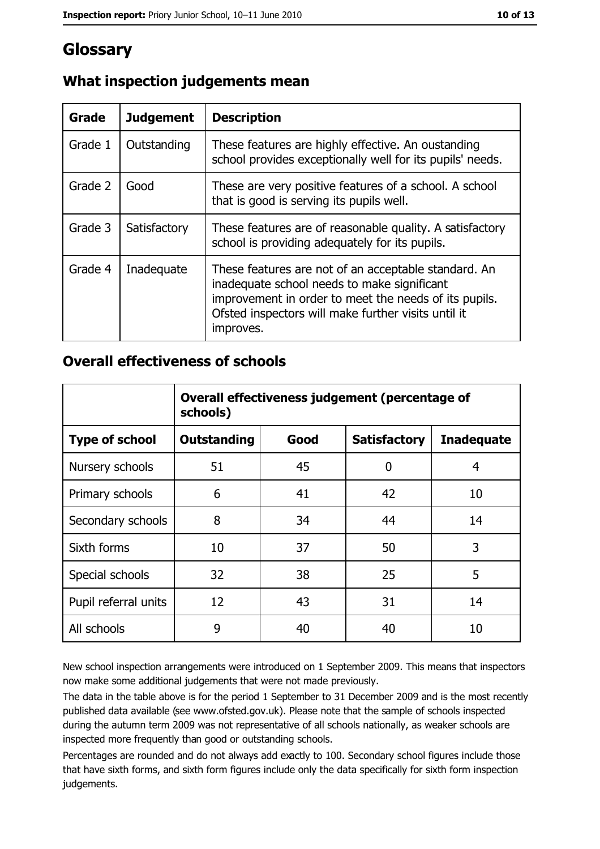## Glossary

| <b>Grade</b> | <b>Judgement</b> | <b>Description</b>                                                                                                                                                                                                               |
|--------------|------------------|----------------------------------------------------------------------------------------------------------------------------------------------------------------------------------------------------------------------------------|
| Grade 1      | Outstanding      | These features are highly effective. An oustanding<br>school provides exceptionally well for its pupils' needs.                                                                                                                  |
| Grade 2      | Good             | These are very positive features of a school. A school<br>that is good is serving its pupils well.                                                                                                                               |
| Grade 3      | Satisfactory     | These features are of reasonable quality. A satisfactory<br>school is providing adequately for its pupils.                                                                                                                       |
| Grade 4      | Inadequate       | These features are not of an acceptable standard. An<br>inadequate school needs to make significant<br>improvement in order to meet the needs of its pupils.<br>Ofsted inspectors will make further visits until it<br>improves. |

#### What inspection judgements mean

#### **Overall effectiveness of schools**

|                       | Overall effectiveness judgement (percentage of<br>schools) |      |                     |                   |
|-----------------------|------------------------------------------------------------|------|---------------------|-------------------|
| <b>Type of school</b> | <b>Outstanding</b>                                         | Good | <b>Satisfactory</b> | <b>Inadequate</b> |
| Nursery schools       | 51                                                         | 45   | 0                   | 4                 |
| Primary schools       | 6                                                          | 41   | 42                  | 10                |
| Secondary schools     | 8                                                          | 34   | 44                  | 14                |
| Sixth forms           | 10                                                         | 37   | 50                  | 3                 |
| Special schools       | 32                                                         | 38   | 25                  | 5                 |
| Pupil referral units  | 12                                                         | 43   | 31                  | 14                |
| All schools           | 9                                                          | 40   | 40                  | 10                |

New school inspection arrangements were introduced on 1 September 2009. This means that inspectors now make some additional judgements that were not made previously.

The data in the table above is for the period 1 September to 31 December 2009 and is the most recently published data available (see www.ofsted.gov.uk). Please note that the sample of schools inspected during the autumn term 2009 was not representative of all schools nationally, as weaker schools are inspected more frequently than good or outstanding schools.

Percentages are rounded and do not always add exactly to 100. Secondary school figures include those that have sixth forms, and sixth form figures include only the data specifically for sixth form inspection judgements.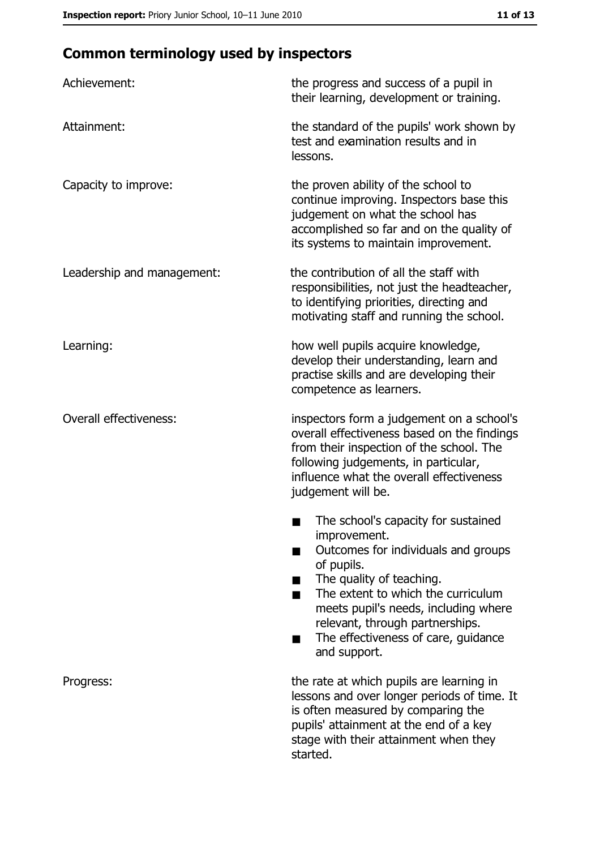# **Common terminology used by inspectors**

| Achievement:                  | the progress and success of a pupil in<br>their learning, development or training.                                                                                                                                                                                                                           |
|-------------------------------|--------------------------------------------------------------------------------------------------------------------------------------------------------------------------------------------------------------------------------------------------------------------------------------------------------------|
| Attainment:                   | the standard of the pupils' work shown by<br>test and examination results and in<br>lessons.                                                                                                                                                                                                                 |
| Capacity to improve:          | the proven ability of the school to<br>continue improving. Inspectors base this<br>judgement on what the school has<br>accomplished so far and on the quality of<br>its systems to maintain improvement.                                                                                                     |
| Leadership and management:    | the contribution of all the staff with<br>responsibilities, not just the headteacher,<br>to identifying priorities, directing and<br>motivating staff and running the school.                                                                                                                                |
| Learning:                     | how well pupils acquire knowledge,<br>develop their understanding, learn and<br>practise skills and are developing their<br>competence as learners.                                                                                                                                                          |
| <b>Overall effectiveness:</b> | inspectors form a judgement on a school's<br>overall effectiveness based on the findings<br>from their inspection of the school. The<br>following judgements, in particular,<br>influence what the overall effectiveness<br>judgement will be.                                                               |
|                               | The school's capacity for sustained<br>improvement.<br>Outcomes for individuals and groups<br>of pupils.<br>The quality of teaching.<br>The extent to which the curriculum<br>meets pupil's needs, including where<br>relevant, through partnerships.<br>The effectiveness of care, guidance<br>and support. |
| Progress:                     | the rate at which pupils are learning in<br>lessons and over longer periods of time. It<br>is often measured by comparing the<br>pupils' attainment at the end of a key<br>stage with their attainment when they<br>started.                                                                                 |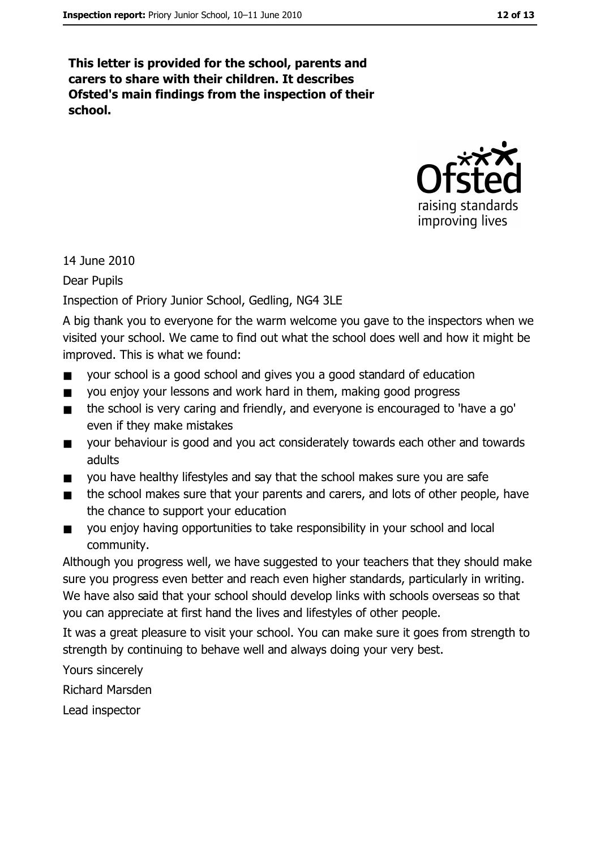This letter is provided for the school, parents and carers to share with their children. It describes Ofsted's main findings from the inspection of their school.



14 June 2010

**Dear Pupils** 

Inspection of Priory Junior School, Gedling, NG4 3LE

A big thank you to everyone for the warm welcome you gave to the inspectors when we visited your school. We came to find out what the school does well and how it might be improved. This is what we found:

- your school is a good school and gives you a good standard of education  $\blacksquare$
- you enjoy your lessons and work hard in them, making good progress  $\blacksquare$
- the school is very caring and friendly, and everyone is encouraged to 'have a go'  $\blacksquare$ even if they make mistakes
- your behaviour is good and you act considerately towards each other and towards  $\blacksquare$ adults
- you have healthy lifestyles and say that the school makes sure you are safe .
- the school makes sure that your parents and carers, and lots of other people, have  $\blacksquare$ the chance to support your education
- you enjoy having opportunities to take responsibility in your school and local  $\blacksquare$ community.

Although you progress well, we have suggested to your teachers that they should make sure you progress even better and reach even higher standards, particularly in writing. We have also said that your school should develop links with schools overseas so that you can appreciate at first hand the lives and lifestyles of other people.

It was a great pleasure to visit your school. You can make sure it goes from strength to strength by continuing to behave well and always doing your very best.

Yours sincerely **Richard Marsden** Lead inspector